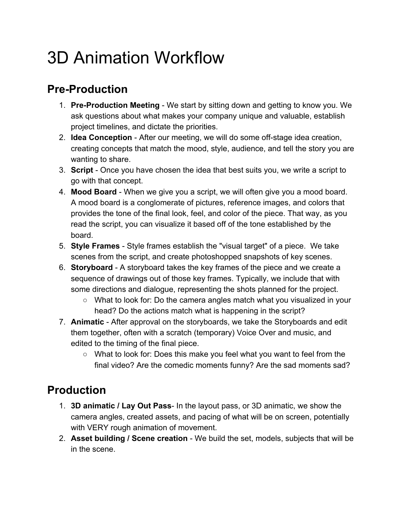## 3D Animation Workflow

## **Pre-Production**

- 1. **Pre-Production Meeting** We start by sitting down and getting to know you. We ask questions about what makes your company unique and valuable, establish project timelines, and dictate the priorities.
- 2. **Idea Conception** After our meeting, we will do some off-stage idea creation, creating concepts that match the mood, style, audience, and tell the story you are wanting to share.
- 3. **Script** Once you have chosen the idea that best suits you, we write a script to go with that concept.
- 4. **Mood Board** When we give you a script, we will often give you a mood board. A mood board is a conglomerate of pictures, reference images, and colors that provides the tone of the final look, feel, and color of the piece. That way, as you read the script, you can visualize it based off of the tone established by the board.
- 5. **Style Frames** Style frames establish the "visual target" of a piece. We take scenes from the script, and create photoshopped snapshots of key scenes.
- 6. **Storyboard** A storyboard takes the key frames of the piece and we create a sequence of drawings out of those key frames. Typically, we include that with some directions and dialogue, representing the shots planned for the project.
	- What to look for: Do the camera angles match what you visualized in your head? Do the actions match what is happening in the script?
- 7. **Animatic** After approval on the storyboards, we take the Storyboards and edit them together, often with a scratch (temporary) Voice Over and music, and edited to the timing of the final piece.
	- What to look for: Does this make you feel what you want to feel from the final video? Are the comedic moments funny? Are the sad moments sad?

## **Production**

- 1. **3D animatic / Lay Out Pass** In the layout pass, or 3D animatic, we show the camera angles, created assets, and pacing of what will be on screen, potentially with VERY rough animation of movement.
- 2. **Asset building / Scene creation** We build the set, models, subjects that will be in the scene.